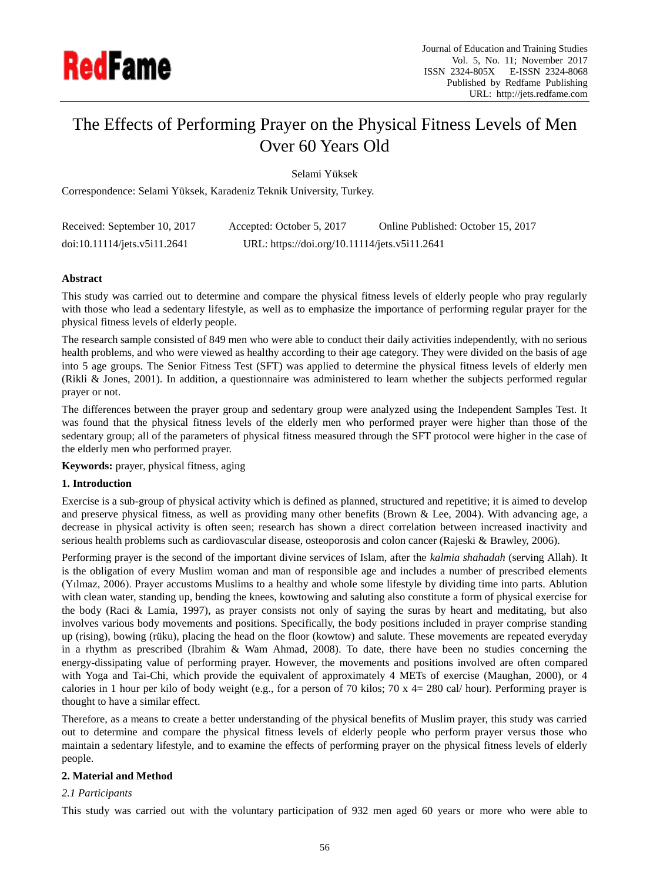

# The Effects of Performing Prayer on the Physical Fitness Levels of Men Over 60 Years Old

Selami Yüksek

Correspondence: Selami Yüksek, Karadeniz Teknik University, Turkey.

| Received: September 10, 2017 | Accepted: October 5, 2017                     | Online Published: October 15, 2017 |
|------------------------------|-----------------------------------------------|------------------------------------|
| doi:10.11114/jets.v5i11.2641 | URL: https://doi.org/10.11114/jets.v5i11.2641 |                                    |

# **Abstract**

This study was carried out to determine and compare the physical fitness levels of elderly people who pray regularly with those who lead a sedentary lifestyle, as well as to emphasize the importance of performing regular prayer for the physical fitness levels of elderly people.

The research sample consisted of 849 men who were able to conduct their daily activities independently, with no serious health problems, and who were viewed as healthy according to their age category. They were divided on the basis of age into 5 age groups. The Senior Fitness Test (SFT) was applied to determine the physical fitness levels of elderly men (Rikli & Jones, 2001). In addition, a questionnaire was administered to learn whether the subjects performed regular prayer or not.

The differences between the prayer group and sedentary group were analyzed using the Independent Samples Test. It was found that the physical fitness levels of the elderly men who performed prayer were higher than those of the sedentary group; all of the parameters of physical fitness measured through the SFT protocol were higher in the case of the elderly men who performed prayer.

## **Keywords:** prayer, physical fitness, aging

# **1. Introduction**

Exercise is a sub-group of physical activity which is defined as planned, structured and repetitive; it is aimed to develop and preserve physical fitness, as well as providing many other benefits (Brown & Lee, 2004). With advancing age, a decrease in physical activity is often seen; research has shown a direct correlation between increased inactivity and serious health problems such as cardiovascular disease, osteoporosis and colon cancer (Rajeski & Brawley, 2006).

Performing prayer is the second of the important divine services of Islam, after the *kalmia shahadah* (serving Allah). It is the obligation of every Muslim woman and man of responsible age and includes a number of prescribed elements (Yılmaz, 2006). Prayer accustoms Muslims to a healthy and whole some lifestyle by dividing time into parts. Ablution with clean water, standing up, bending the knees, kowtowing and saluting also constitute a form of physical exercise for the body (Raci & Lamia, 1997), as prayer consists not only of saying the suras by heart and meditating, but also involves various body movements and positions. Specifically, the body positions included in prayer comprise standing up (rising), bowing (rüku), placing the head on the floor (kowtow) and salute. These movements are repeated everyday in a rhythm as prescribed (Ibrahim & Wam Ahmad, 2008). To date, there have been no studies concerning the energy-dissipating value of performing prayer. However, the movements and positions involved are often compared with Yoga and Tai-Chi, which provide the equivalent of approximately 4 METs of exercise (Maughan, 2000), or 4 calories in 1 hour per kilo of body weight (e.g., for a person of 70 kilos; 70 x 4= 280 cal/ hour). Performing prayer is thought to have a similar effect.

Therefore, as a means to create a better understanding of the physical benefits of Muslim prayer, this study was carried out to determine and compare the physical fitness levels of elderly people who perform prayer versus those who maintain a sedentary lifestyle, and to examine the effects of performing prayer on the physical fitness levels of elderly people.

# **2. Material and Method**

# *2.1 Participants*

This study was carried out with the voluntary participation of 932 men aged 60 years or more who were able to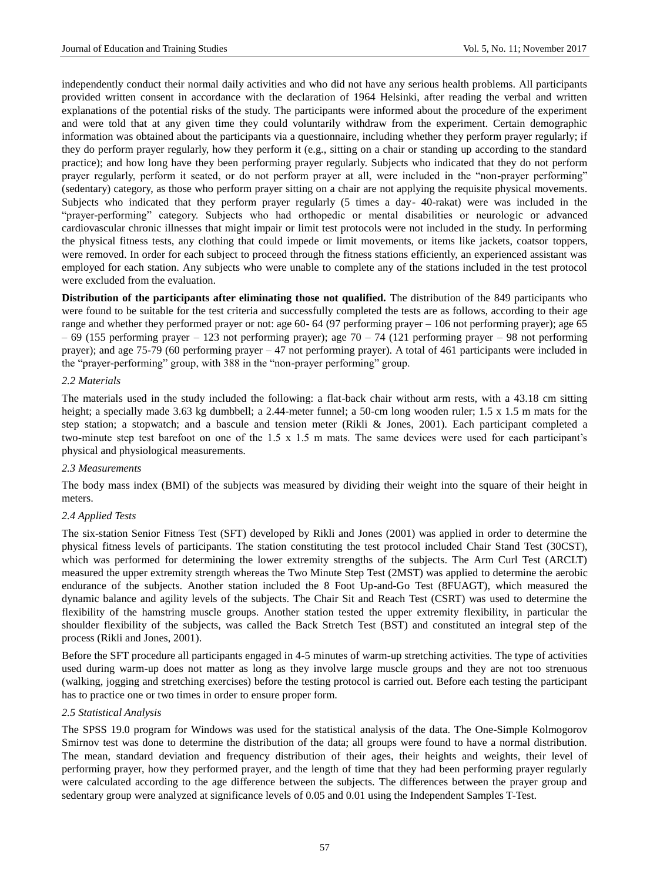independently conduct their normal daily activities and who did not have any serious health problems. All participants provided written consent in accordance with the declaration of 1964 Helsinki, after reading the verbal and written explanations of the potential risks of the study. The participants were informed about the procedure of the experiment and were told that at any given time they could voluntarily withdraw from the experiment. Certain demographic information was obtained about the participants via a questionnaire, including whether they perform prayer regularly; if they do perform prayer regularly, how they perform it (e.g., sitting on a chair or standing up according to the standard practice); and how long have they been performing prayer regularly. Subjects who indicated that they do not perform prayer regularly, perform it seated, or do not perform prayer at all, were included in the "non-prayer performing" (sedentary) category, as those who perform prayer sitting on a chair are not applying the requisite physical movements. Subjects who indicated that they perform prayer regularly (5 times a day- 40-rakat) were was included in the "prayer-performing" category. Subjects who had orthopedic or mental disabilities or neurologic or advanced cardiovascular chronic illnesses that might impair or limit test protocols were not included in the study. In performing the physical fitness tests, any clothing that could impede or limit movements, or items like jackets, coatsor toppers, were removed. In order for each subject to proceed through the fitness stations efficiently, an experienced assistant was employed for each station. Any subjects who were unable to complete any of the stations included in the test protocol were excluded from the evaluation.

**Distribution of the participants after eliminating those not qualified.** The distribution of the 849 participants who were found to be suitable for the test criteria and successfully completed the tests are as follows, according to their age range and whether they performed prayer or not: age 60- 64 (97 performing prayer – 106 not performing prayer); age 65  $-69$  (155 performing prayer – 123 not performing prayer); age 70 – 74 (121 performing prayer – 98 not performing prayer); and age 75-79 (60 performing prayer – 47 not performing prayer). A total of 461 participants were included in the "prayer-performing" group, with 388 in the "non-prayer performing" group.

#### *2.2 Materials*

The materials used in the study included the following: a flat-back chair without arm rests, with a 43.18 cm sitting height; a specially made 3.63 kg dumbbell; a 2.44-meter funnel; a 50-cm long wooden ruler; 1.5 x 1.5 m mats for the step station; a stopwatch; and a bascule and tension meter (Rikli & Jones, 2001). Each participant completed a two-minute step test barefoot on one of the 1.5 x 1.5 m mats. The same devices were used for each participant's physical and physiological measurements.

#### *2.3 Measurements*

The body mass index (BMI) of the subjects was measured by dividing their weight into the square of their height in meters.

#### *2.4 Applied Tests*

The six-station Senior Fitness Test (SFT) developed by Rikli and Jones (2001) was applied in order to determine the physical fitness levels of participants. The station constituting the test protocol included Chair Stand Test (30CST), which was performed for determining the lower extremity strengths of the subjects. The Arm Curl Test (ARCLT) measured the upper extremity strength whereas the Two Minute Step Test (2MST) was applied to determine the aerobic endurance of the subjects. Another station included the 8 Foot Up-and-Go Test (8FUAGT), which measured the dynamic balance and agility levels of the subjects. The Chair Sit and Reach Test (CSRT) was used to determine the flexibility of the hamstring muscle groups. Another station tested the upper extremity flexibility, in particular the shoulder flexibility of the subjects, was called the Back Stretch Test (BST) and constituted an integral step of the process (Rikli and Jones, 2001).

Before the SFT procedure all participants engaged in 4-5 minutes of warm-up stretching activities. The type of activities used during warm-up does not matter as long as they involve large muscle groups and they are not too strenuous (walking, jogging and stretching exercises) before the testing protocol is carried out. Before each testing the participant has to practice one or two times in order to ensure proper form.

#### *2.5 Statistical Analysis*

The SPSS 19.0 program for Windows was used for the statistical analysis of the data. The One-Simple Kolmogorov Smirnov test was done to determine the distribution of the data; all groups were found to have a normal distribution. The mean, standard deviation and frequency distribution of their ages, their heights and weights, their level of performing prayer, how they performed prayer, and the length of time that they had been performing prayer regularly were calculated according to the age difference between the subjects. The differences between the prayer group and sedentary group were analyzed at significance levels of 0.05 and 0.01 using the Independent Samples T-Test.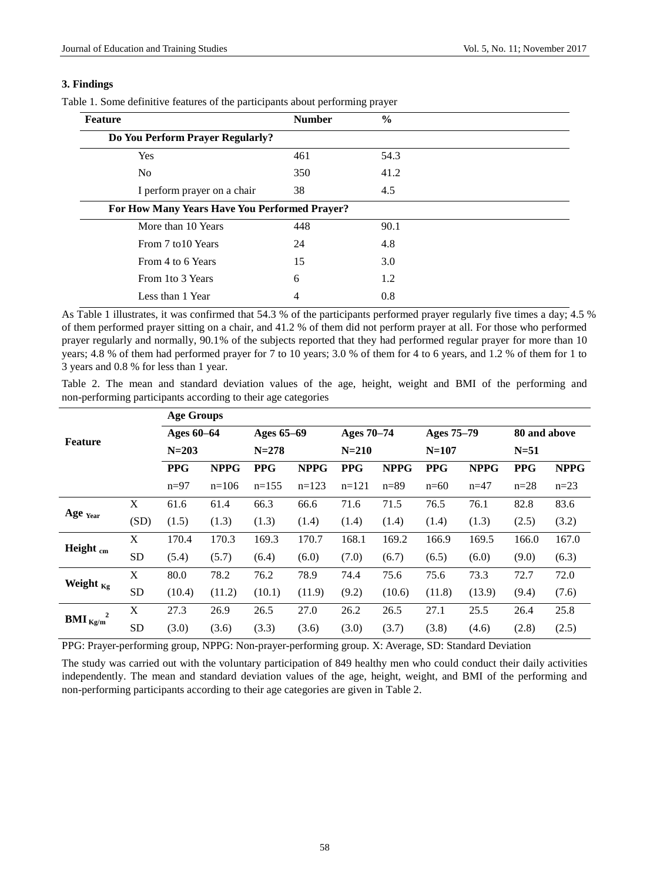## **3. Findings**

|  | Table 1. Some definitive features of the participants about performing prayer |  |  |  |
|--|-------------------------------------------------------------------------------|--|--|--|
|  |                                                                               |  |  |  |

| <b>Feature</b>                                | <b>Number</b> | $\frac{6}{6}$ |  |  |  |  |  |
|-----------------------------------------------|---------------|---------------|--|--|--|--|--|
| Do You Perform Prayer Regularly?              |               |               |  |  |  |  |  |
| <b>Yes</b>                                    | 461           | 54.3          |  |  |  |  |  |
| N <sub>0</sub>                                | 350           | 41.2          |  |  |  |  |  |
| I perform prayer on a chair                   | 38            | 4.5           |  |  |  |  |  |
| For How Many Years Have You Performed Prayer? |               |               |  |  |  |  |  |
| More than 10 Years                            | 448           | 90.1          |  |  |  |  |  |
| From 7 to 10 Years                            | 24            | 4.8           |  |  |  |  |  |
| From 4 to 6 Years                             | 15            | 3.0           |  |  |  |  |  |
| From 1to 3 Years                              | 6             | 1.2           |  |  |  |  |  |
| Less than 1 Year                              | 4             | 0.8           |  |  |  |  |  |

As Table 1 illustrates, it was confirmed that  $\overline{54.3\%}$  of the participants performed prayer regularly five times a day; 4.5 % of them performed prayer sitting on a chair, and 41.2 % of them did not perform prayer at all. For those who performed prayer regularly and normally, 90.1% of the subjects reported that they had performed regular prayer for more than 10 years; 4.8 % of them had performed prayer for 7 to 10 years; 3.0 % of them for 4 to 6 years, and 1.2 % of them for 1 to 3 years and 0.8 % for less than 1 year.

Table 2. The mean and standard deviation values of the age, height, weight and BMI of the performing and non-performing participants according to their age categories

|                               |           | <b>Age Groups</b> |             |            |             |            |             |            |             |              |             |
|-------------------------------|-----------|-------------------|-------------|------------|-------------|------------|-------------|------------|-------------|--------------|-------------|
| <b>Feature</b>                |           | Ages 60-64        |             | Ages 65-69 |             | Ages 70–74 |             | Ages 75-79 |             | 80 and above |             |
|                               |           | $N = 203$         |             | $N = 278$  |             | $N = 210$  |             | $N=107$    |             | $N=51$       |             |
|                               |           | <b>PPG</b>        | <b>NPPG</b> | <b>PPG</b> | <b>NPPG</b> | <b>PPG</b> | <b>NPPG</b> | <b>PPG</b> | <b>NPPG</b> | <b>PPG</b>   | <b>NPPG</b> |
|                               |           | $n=97$            | $n=106$     | $n=155$    | $n=123$     | $n=121$    | $n = 89$    | $n=60$     | $n=47$      | $n=28$       | $n=23$      |
|                               | X         | 61.6              | 61.4        | 66.3       | 66.6        | 71.6       | 71.5        | 76.5       | 76.1        | 82.8         | 83.6        |
| Age Year                      | (SD)      | (1.5)             | (1.3)       | (1.3)      | (1.4)       | (1.4)      | (1.4)       | (1.4)      | (1.3)       | (2.5)        | (3.2)       |
| Height cm                     | X         | 170.4             | 170.3       | 169.3      | 170.7       | 168.1      | 169.2       | 166.9      | 169.5       | 166.0        | 167.0       |
|                               | <b>SD</b> | (5.4)             | (5.7)       | (6.4)      | (6.0)       | (7.0)      | (6.7)       | (6.5)      | (6.0)       | (9.0)        | (6.3)       |
| Weight $_{\text{Kg}}$         | X         | 80.0              | 78.2        | 76.2       | 78.9        | 74.4       | 75.6        | 75.6       | 73.3        | 72.7         | 72.0        |
|                               | <b>SD</b> | (10.4)            | (11.2)      | (10.1)     | (11.9)      | (9.2)      | (10.6)      | (11.8)     | (13.9)      | (9.4)        | (7.6)       |
| <b>BMI</b> $_{\text{Kg/m}}^2$ | X         | 27.3              | 26.9        | 26.5       | 27.0        | 26.2       | 26.5        | 27.1       | 25.5        | 26.4         | 25.8        |
|                               | <b>SD</b> | (3.0)             | (3.6)       | (3.3)      | (3.6)       | (3.0)      | (3.7)       | (3.8)      | (4.6)       | (2.8)        | (2.5)       |

PPG: Prayer-performing group, NPPG: Non-prayer-performing group. X: Average, SD: Standard Deviation

The study was carried out with the voluntary participation of 849 healthy men who could conduct their daily activities independently. The mean and standard deviation values of the age, height, weight, and BMI of the performing and non-performing participants according to their age categories are given in Table 2.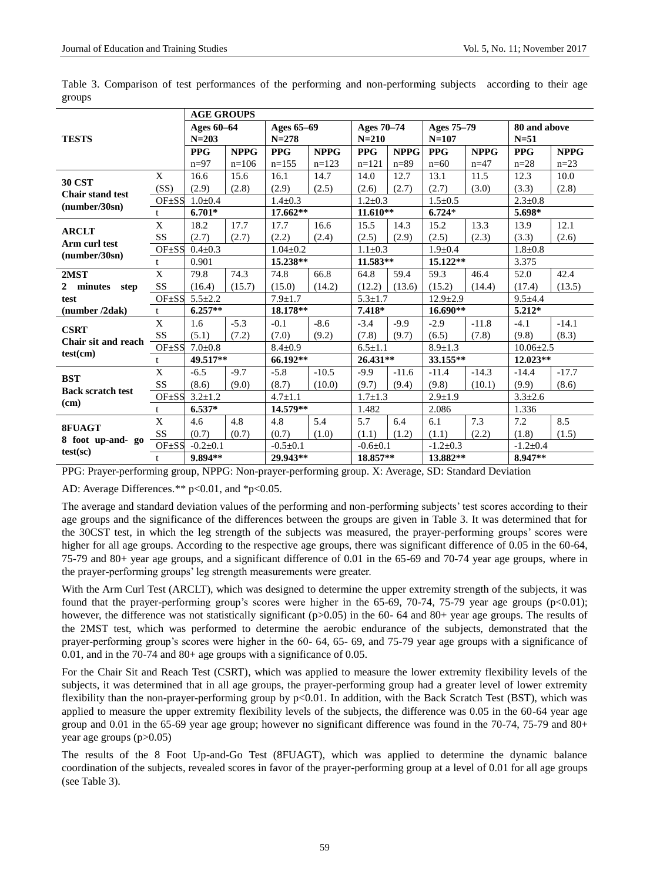|                                 |             | <b>AGE GROUPS</b> |             |                |             |               |              |                |              |                 |              |  |
|---------------------------------|-------------|-------------------|-------------|----------------|-------------|---------------|--------------|----------------|--------------|-----------------|--------------|--|
| <b>TESTS</b>                    |             | Ages 60-64        |             | Ages 65-69     |             | Ages 70-74    |              | Ages 75-79     |              | 80 and above    |              |  |
|                                 |             | $N = 203$         |             | $N = 278$      |             | $N = 210$     |              | $N = 107$      |              | $N=51$          |              |  |
|                                 |             | <b>PPG</b>        | <b>NPPG</b> | <b>PPG</b>     | <b>NPPG</b> | <b>PPG</b>    | <b>NPPG</b>  | <b>PPG</b>     | <b>NPPG</b>  | <b>PPG</b>      | <b>NPPG</b>  |  |
|                                 |             | $n=97$            | $n=106$     | $n=155$        | $n=123$     | $n=121$       | $n = 89$     | $n=60$         | $n=47$       | $n=28$          | $n=23$       |  |
| <b>30 CST</b>                   | X           | 16.6              | 15.6        | 16.1           | 14.7        | 14.0          | 12.7         | 13.1           | 11.5         | 12.3            | 10.0         |  |
| <b>Chair stand test</b>         | (SS)        | (2.9)             | (2.8)       | (2.9)          | (2.5)       | (2.6)         | (2.7)        | (2.7)          | (3.0)        | (3.3)           | (2.8)        |  |
| (number/30sn)                   | OF±SS       | $1.0 + 0.4$       |             | $1.4 + 0.3$    |             | $1.2 + 0.3$   |              | $1.5 \pm 0.5$  |              | $2.3 \pm 0.8$   |              |  |
|                                 | t.          | $6.701*$          |             |                | 17.662**    |               | $11.610**$   | $6.724*$       |              | 5.698*          |              |  |
| <b>ARCLT</b>                    | X           | 18.2              | 17.7        | 17.7           | 16.6        | 15.5          | 14.3         | 15.2           | 13.3         | 13.9            | 12.1         |  |
| Arm curl test                   | SS          | (2.7)             | (2.7)       | (2.2)          | (2.4)       | (2.5)         | (2.9)        | (2.5)          | (2.3)        | (3.3)           | (2.6)        |  |
| (number/30sn)                   | OF ±SS      | $0.4 + 0.3$       |             | $1.04 + 0.2$   |             | $1.1 \pm 0.3$ |              | $1.9 + 0.4$    |              | $1.8 + 0.8$     |              |  |
|                                 | t           | 0.901             |             | 15.238**       |             | 11.583**      |              | 15.122**       |              | 3.375           |              |  |
| 2 <sub>MST</sub>                | $\mathbf X$ | 79.8              | 74.3        | 74.8           | 66.8        | 64.8          | 59.4         | 59.3           | 46.4         | 52.0            | 42.4         |  |
| $\mathbf{2}$<br>minutes<br>step | SS          | (16.4)            | (15.7)      | (15.0)         | (14.2)      | (12.2)        | (13.6)       | (15.2)         | (14.4)       | (17.4)          | (13.5)       |  |
| test                            | OF ±SS      | $5.5 \pm 2.2$     |             | $7.9 \pm 1.7$  |             | $5.3 \pm 1.7$ |              | $12.9 \pm 2.9$ |              | $9.5 + 4.4$     |              |  |
| (number /2dak)                  | t           | $6.257**$         |             | 18.178**       |             | $7.418*$      |              | $16.690**$     |              | $5.212*$        |              |  |
| <b>CSRT</b>                     | X           | 1.6               | $-5.3$      | $-0.1$         | $-8.6$      | $-3.4$        | $-9.9$       | $-2.9$         | $-11.8$      | $-4.1$          | $-14.1$      |  |
| Chair sit and reach             | SS          | (5.1)             | (7.2)       | (7.0)          | (9.2)       | (7.8)         | (9.7)        | (6.5)          | (7.8)        | (9.8)           | (8.3)        |  |
| test(cm)                        | OF±SS       | $7.0 \pm 0.8$     |             | $8.4 \pm 0.9$  |             | $6.5 \pm 1.1$ |              | $8.9 \pm 1.3$  |              | $10.06 \pm 2.5$ |              |  |
|                                 | t           | 49.517**          |             | $66.192**$     |             | 26.431**      |              | 33.155**       |              | 12.023**        |              |  |
| <b>BST</b>                      | X           | $-6.5$            | $-9.7$      | $-5.8$         | $-10.5$     | $-9.9$        | $-11.6$      | $-11.4$        | $-14.3$      | $-14.4$         | $-17.7$      |  |
| <b>Back scratch test</b>        | SS          | (8.6)             | (9.0)       | (8.7)          | (10.0)      | (9.7)         | (9.4)        | (9.8)          | (10.1)       | (9.9)           | (8.6)        |  |
| (cm)                            | OF ±SS      | $3.2 + 1.2$       |             | $4.7 \pm 1.1$  |             | $1.7 \pm 1.3$ |              | $2.9 \pm 1.9$  |              | $3.3 \pm 2.6$   |              |  |
|                                 | $t_{\cdot}$ | 6.537*            |             | 14.579**       |             | 1.482         |              | 2.086          |              | 1.336           |              |  |
| 8FUAGT                          | $\mathbf X$ | 4.6               | 4.8         | 4.8            | 5.4         | 5.7           | 6.4          | 6.1            | 7.3          | 7.2             | 8.5          |  |
| 8 foot up-and- go               | SS          | (0.7)             | (0.7)       | (0.7)          | (1.0)       | (1.1)         | (1.2)        | (1.1)          | (2.2)        | (1.8)           | (1.5)        |  |
| $test(\text{sc})$               | OF ±SS      | $-0.2 \pm 0.1$    |             | $-0.5 \pm 0.1$ |             |               | $-0.6 + 0.1$ |                | $-1.2 + 0.3$ |                 | $-1.2 + 0.4$ |  |
|                                 | t.          | 9.894**           |             | 29.943**       |             | 18.857**      |              | 13.882**       |              | 8.947**         |              |  |

Table 3. Comparison of test performances of the performing and non-performing subjects according to their age groups

PPG: Prayer-performing group, NPPG: Non-prayer-performing group. X: Average, SD: Standard Deviation

AD: Average Differences.\*\*  $p<0.01$ , and  $p<0.05$ .

The average and standard deviation values of the performing and non-performing subjects' test scores according to their age groups and the significance of the differences between the groups are given in Table 3. It was determined that for the 30CST test, in which the leg strength of the subjects was measured, the prayer-performing groups' scores were higher for all age groups. According to the respective age groups, there was significant difference of 0.05 in the 60-64, 75-79 and 80+ year age groups, and a significant difference of 0.01 in the 65-69 and 70-74 year age groups, where in the prayer-performing groups' leg strength measurements were greater.

With the Arm Curl Test (ARCLT), which was designed to determine the upper extremity strength of the subjects, it was found that the prayer-performing group's scores were higher in the  $65-69$ ,  $70-74$ ,  $75-79$  year age groups (p<0.01); however, the difference was not statistically significant ( $p>0.05$ ) in the 60- 64 and 80+ year age groups. The results of the 2MST test, which was performed to determine the aerobic endurance of the subjects, demonstrated that the prayer-performing group's scores were higher in the 60- 64, 65- 69, and 75-79 year age groups with a significance of 0.01, and in the 70-74 and 80+ age groups with a significance of 0.05.

For the Chair Sit and Reach Test (CSRT), which was applied to measure the lower extremity flexibility levels of the subjects, it was determined that in all age groups, the prayer-performing group had a greater level of lower extremity flexibility than the non-prayer-performing group by p<0.01. In addition, with the Back Scratch Test (BST), which was applied to measure the upper extremity flexibility levels of the subjects, the difference was 0.05 in the 60-64 year age group and 0.01 in the 65-69 year age group; however no significant difference was found in the 70-74, 75-79 and 80+ year age groups (p>0.05)

The results of the 8 Foot Up-and-Go Test (8FUAGT), which was applied to determine the dynamic balance coordination of the subjects, revealed scores in favor of the prayer-performing group at a level of 0.01 for all age groups (see Table 3).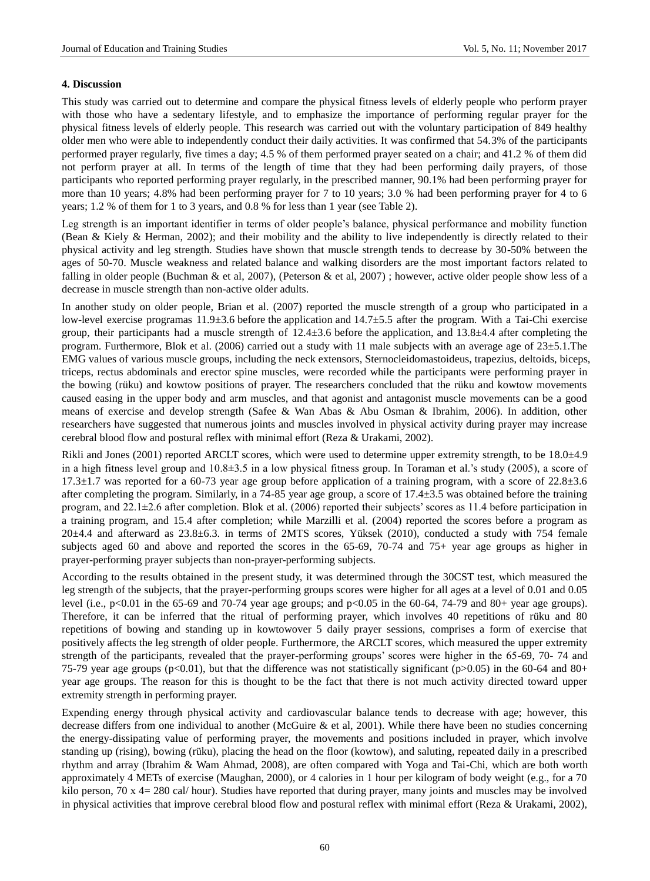## **4. Discussion**

This study was carried out to determine and compare the physical fitness levels of elderly people who perform prayer with those who have a sedentary lifestyle, and to emphasize the importance of performing regular prayer for the physical fitness levels of elderly people. This research was carried out with the voluntary participation of 849 healthy older men who were able to independently conduct their daily activities. It was confirmed that 54.3% of the participants performed prayer regularly, five times a day; 4.5 % of them performed prayer seated on a chair; and 41.2 % of them did not perform prayer at all. In terms of the length of time that they had been performing daily prayers, of those participants who reported performing prayer regularly, in the prescribed manner, 90.1% had been performing prayer for more than 10 years; 4.8% had been performing prayer for 7 to 10 years; 3.0 % had been performing prayer for 4 to 6 years; 1.2 % of them for 1 to 3 years, and 0.8 % for less than 1 year (see Table 2).

Leg strength is an important identifier in terms of older people's balance, physical performance and mobility function (Bean & Kiely & Herman, 2002); and their mobility and the ability to live independently is directly related to their physical activity and leg strength. Studies have shown that muscle strength tends to decrease by 30-50% between the ages of 50-70. Muscle weakness and related balance and walking disorders are the most important factors related to falling in older people (Buchman & et al, 2007), (Peterson & et al, 2007) ; however, active older people show less of a decrease in muscle strength than non-active older adults.

In another study on older people, Brian et al. (2007) reported the muscle strength of a group who participated in a low-level exercise programas 11.9±3.6 before the application and 14.7±5.5 after the program. With a Tai-Chi exercise group, their participants had a muscle strength of  $12.4 \pm 3.6$  before the application, and  $13.8 \pm 4.4$  after completing the program. Furthermore, Blok et al. (2006) carried out a study with 11 male subjects with an average age of  $23 \pm 5.1$ . The EMG values of various muscle groups, including the neck extensors, Sternocleidomastoideus, trapezius, deltoids, biceps, triceps, rectus abdominals and erector spine muscles, were recorded while the participants were performing prayer in the bowing (rüku) and kowtow positions of prayer. The researchers concluded that the rüku and kowtow movements caused easing in the upper body and arm muscles, and that agonist and antagonist muscle movements can be a good means of exercise and develop strength (Safee & Wan Abas & Abu Osman & Ibrahim, 2006). In addition, other researchers have suggested that numerous joints and muscles involved in physical activity during prayer may increase cerebral blood flow and postural reflex with minimal effort (Reza & Urakami, 2002).

Rikli and Jones (2001) reported ARCLT scores, which were used to determine upper extremity strength, to be 18.0 $\pm$ 4.9 in a high fitness level group and 10.8±3.5 in a low physical fitness group. In Toraman et al.'s study (2005), a score of  $17.3 \pm 1.7$  was reported for a 60-73 year age group before application of a training program, with a score of 22.8 $\pm$ 3.6 after completing the program. Similarly, in a 74-85 year age group, a score of  $17.4 \pm 3.5$  was obtained before the training program, and 22.1±2.6 after completion. Blok et al. (2006) reported their subjects' scores as 11.4 before participation in a training program, and 15.4 after completion; while Marzilli et al. (2004) reported the scores before a program as  $20\pm4.4$  and afterward as  $23.8\pm6.3$ . in terms of 2MTS scores, Yüksek (2010), conducted a study with 754 female subjects aged 60 and above and reported the scores in the 65-69, 70-74 and 75+ year age groups as higher in prayer-performing prayer subjects than non-prayer-performing subjects.

According to the results obtained in the present study, it was determined through the 30CST test, which measured the leg strength of the subjects, that the prayer-performing groups scores were higher for all ages at a level of 0.01 and 0.05 level (i.e., p<0.01 in the 65-69 and 70-74 year age groups; and p<0.05 in the 60-64, 74-79 and 80+ year age groups). Therefore, it can be inferred that the ritual of performing prayer, which involves 40 repetitions of rüku and 80 repetitions of bowing and standing up in kowtowover 5 daily prayer sessions, comprises a form of exercise that positively affects the leg strength of older people. Furthermore, the ARCLT scores, which measured the upper extremity strength of the participants, revealed that the prayer-performing groups' scores were higher in the 65-69, 70- 74 and 75-79 year age groups (p<0.01), but that the difference was not statistically significant (p>0.05) in the 60-64 and 80+ year age groups. The reason for this is thought to be the fact that there is not much activity directed toward upper extremity strength in performing prayer.

Expending energy through physical activity and cardiovascular balance tends to decrease with age; however, this decrease differs from one individual to another (McGuire & et al, 2001). While there have been no studies concerning the energy-dissipating value of performing prayer, the movements and positions included in prayer, which involve standing up (rising), bowing (rüku), placing the head on the floor (kowtow), and saluting, repeated daily in a prescribed rhythm and array (Ibrahim & Wam Ahmad, 2008), are often compared with Yoga and Tai-Chi, which are both worth approximately 4 METs of exercise (Maughan, 2000), or 4 calories in 1 hour per kilogram of body weight (e.g., for a 70 kilo person, 70 x 4= 280 cal/ hour). Studies have reported that during prayer, many joints and muscles may be involved in physical activities that improve cerebral blood flow and postural reflex with minimal effort (Reza & Urakami, 2002),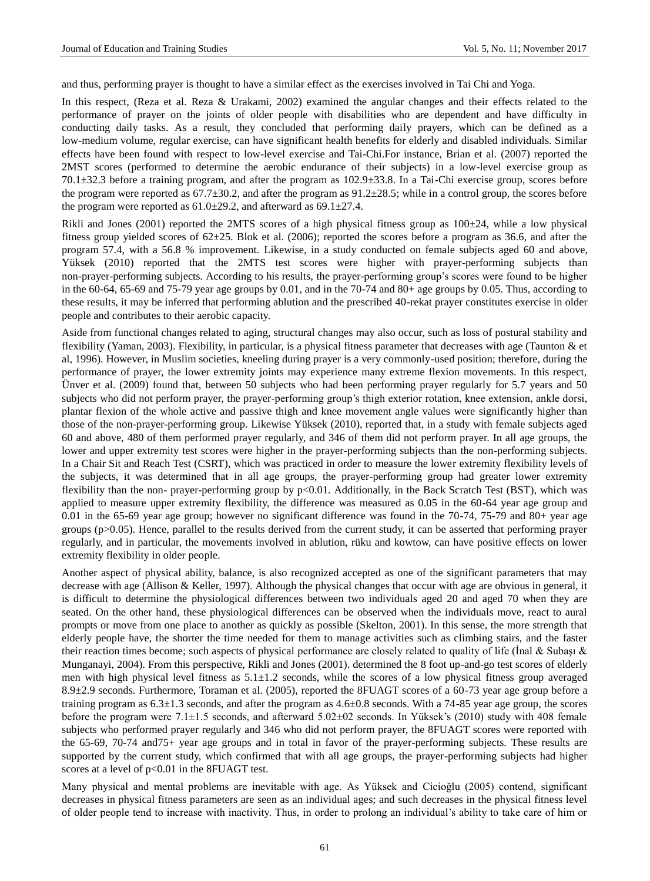and thus, performing prayer is thought to have a similar effect as the exercises involved in Tai Chi and Yoga.

In this respect, (Reza et al. Reza & Urakami, 2002) examined the angular changes and their effects related to the performance of prayer on the joints of older people with disabilities who are dependent and have difficulty in conducting daily tasks. As a result, they concluded that performing daily prayers, which can be defined as a low-medium volume, regular exercise, can have significant health benefits for elderly and disabled individuals. Similar effects have been found with respect to low-level exercise and Tai-Chi.For instance, Brian et al. (2007) reported the 2MST scores (performed to determine the aerobic endurance of their subjects) in a low-level exercise group as 70.1±32.3 before a training program, and after the program as 102.9±33.8. In a Tai-Chi exercise group, scores before the program were reported as  $67.7 \pm 30.2$ , and after the program as  $91.2 \pm 28.5$ ; while in a control group, the scores before the program were reported as  $61.0 \pm 29.2$ , and afterward as  $69.1 \pm 27.4$ .

Rikli and Jones (2001) reported the 2MTS scores of a high physical fitness group as  $100 \pm 24$ , while a low physical fitness group yielded scores of  $62\pm25$ . Blok et al. (2006); reported the scores before a program as 36.6, and after the program 57.4, with a 56.8 % improvement. Likewise, in a study conducted on female subjects aged 60 and above, Yüksek (2010) reported that the 2MTS test scores were higher with prayer-performing subjects than non-prayer-performing subjects. According to his results, the prayer-performing group's scores were found to be higher in the 60-64, 65-69 and 75-79 year age groups by 0.01, and in the 70-74 and 80+ age groups by 0.05. Thus, according to these results, it may be inferred that performing ablution and the prescribed 40-rekat prayer constitutes exercise in older people and contributes to their aerobic capacity.

Aside from functional changes related to aging, structural changes may also occur, such as loss of postural stability and flexibility (Yaman, 2003). Flexibility, in particular, is a physical fitness parameter that decreases with age (Taunton & et al, 1996). However, in Muslim societies, kneeling during prayer is a very commonly-used position; therefore, during the performance of prayer, the lower extremity joints may experience many extreme flexion movements. In this respect, Ünver et al. (2009) found that, between 50 subjects who had been performing prayer regularly for 5.7 years and 50 subjects who did not perform prayer, the prayer-performing group's thigh exterior rotation, knee extension, ankle dorsi, plantar flexion of the whole active and passive thigh and knee movement angle values were significantly higher than those of the non-prayer-performing group. Likewise Yüksek (2010), reported that, in a study with female subjects aged 60 and above, 480 of them performed prayer regularly, and 346 of them did not perform prayer. In all age groups, the lower and upper extremity test scores were higher in the prayer-performing subjects than the non-performing subjects. In a Chair Sit and Reach Test (CSRT), which was practiced in order to measure the lower extremity flexibility levels of the subjects, it was determined that in all age groups, the prayer-performing group had greater lower extremity flexibility than the non- prayer-performing group by p<0.01. Additionally, in the Back Scratch Test (BST), which was applied to measure upper extremity flexibility, the difference was measured as 0.05 in the 60-64 year age group and 0.01 in the 65-69 year age group; however no significant difference was found in the 70-74, 75-79 and 80+ year age groups (p>0.05). Hence, parallel to the results derived from the current study, it can be asserted that performing prayer regularly, and in particular, the movements involved in ablution, rüku and kowtow, can have positive effects on lower extremity flexibility in older people.

Another aspect of physical ability, balance, is also recognized accepted as one of the significant parameters that may decrease with age (Allison & Keller, 1997). Although the physical changes that occur with age are obvious in general, it is difficult to determine the physiological differences between two individuals aged 20 and aged 70 when they are seated. On the other hand, these physiological differences can be observed when the individuals move, react to aural prompts or move from one place to another as quickly as possible (Skelton, 2001). In this sense, the more strength that elderly people have, the shorter the time needed for them to manage activities such as climbing stairs, and the faster their reaction times become; such aspects of physical performance are closely related to quality of life (Inal & Subaşı & Munganayi, 2004). From this perspective, Rikli and Jones (2001). determined the 8 foot up-and-go test scores of elderly men with high physical level fitness as 5.1±1.2 seconds, while the scores of a low physical fitness group averaged 8.9±2.9 seconds. Furthermore, Toraman et al. (2005), reported the 8FUAGT scores of a 60-73 year age group before a training program as  $6.3 \pm 1.3$  seconds, and after the program as  $4.6 \pm 0.8$  seconds. With a 74-85 year age group, the scores before the program were 7.1±1.5 seconds, and afterward 5.02±02 seconds. In Yüksek's (2010) study with 408 female subjects who performed prayer regularly and 346 who did not perform prayer, the 8FUAGT scores were reported with the 65-69, 70-74 and75+ year age groups and in total in favor of the prayer-performing subjects. These results are supported by the current study, which confirmed that with all age groups, the prayer-performing subjects had higher scores at a level of  $p<0.01$  in the 8FUAGT test.

Many physical and mental problems are inevitable with age. As Yüksek and Cicioğlu (2005) contend, significant decreases in physical fitness parameters are seen as an individual ages; and such decreases in the physical fitness level of older people tend to increase with inactivity. Thus, in order to prolong an individual's ability to take care of him or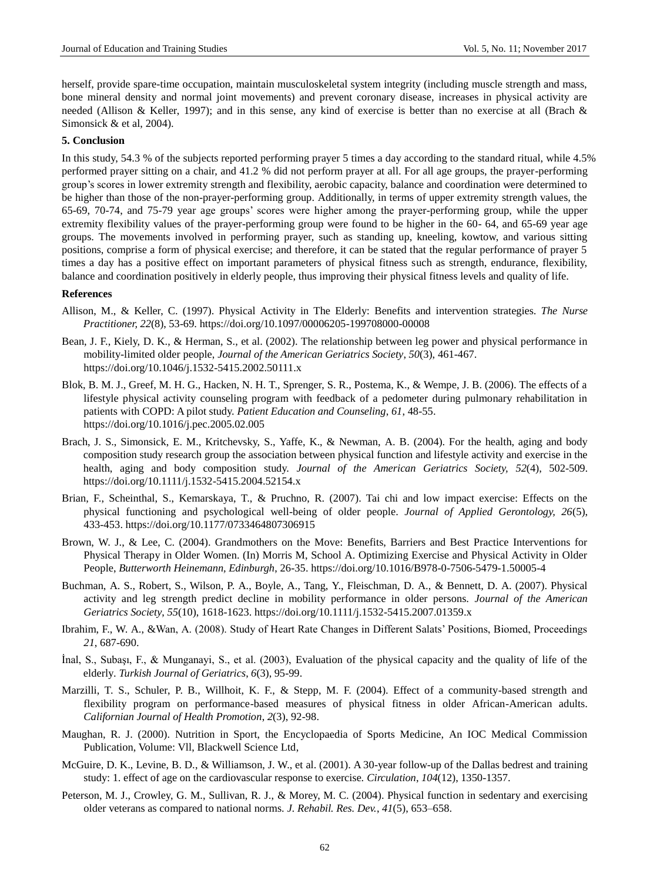herself, provide spare-time occupation, maintain musculoskeletal system integrity (including muscle strength and mass, bone mineral density and normal joint movements) and prevent coronary disease, increases in physical activity are needed (Allison & Keller, 1997); and in this sense, any kind of exercise is better than no exercise at all (Brach & Simonsick & et al, 2004).

## **5. Conclusion**

In this study, 54.3 % of the subjects reported performing prayer 5 times a day according to the standard ritual, while 4.5% performed prayer sitting on a chair, and 41.2 % did not perform prayer at all. For all age groups, the prayer-performing group's scores in lower extremity strength and flexibility, aerobic capacity, balance and coordination were determined to be higher than those of the non-prayer-performing group. Additionally, in terms of upper extremity strength values, the 65-69, 70-74, and 75-79 year age groups' scores were higher among the prayer-performing group, while the upper extremity flexibility values of the prayer-performing group were found to be higher in the 60- 64, and 65-69 year age groups. The movements involved in performing prayer, such as standing up, kneeling, kowtow, and various sitting positions, comprise a form of physical exercise; and therefore, it can be stated that the regular performance of prayer 5 times a day has a positive effect on important parameters of physical fitness such as strength, endurance, flexibility, balance and coordination positively in elderly people, thus improving their physical fitness levels and quality of life.

## **References**

- Allison, M., & Keller, C. (1997). Physical Activity in The Elderly: Benefits and intervention strategies. *The Nurse Practitioner, 22*(8), 53-69. <https://doi.org/10.1097/00006205-199708000-00008>
- Bean, J. F., Kiely, D. K., & Herman, S., et al. (2002). The relationship between leg power and physical performance in mobility-limited older people, *Journal of the American Geriatrics Society*, *50*(3), 461-467. <https://doi.org/10.1046/j.1532-5415.2002.50111.x>
- Blok, B. M. J., Greef, M. H. G., Hacken, N. H. T., Sprenger, S. R., Postema, K., & Wempe, J. B. (2006). The effects of a lifestyle physical activity counseling program with feedback of a pedometer during pulmonary rehabilitation in patients with COPD: A pilot study. *Patient Education and Counseling*, *61*, 48-55. <https://doi.org/10.1016/j.pec.2005.02.005>
- Brach, J. S., Simonsick, E. M., Kritchevsky, S., Yaffe, K., & Newman, A. B. (2004). For the health, aging and body composition study research group the association between physical function and lifestyle activity and exercise in the health, aging and body composition study. *Journal of the American Geriatrics Society, 52*(4), 502-509. <https://doi.org/10.1111/j.1532-5415.2004.52154.x>
- Brian, F., Scheinthal, S., Kemarskaya, T., & Pruchno, R. (2007). Tai chi and low impact exercise: Effects on the physical functioning and psychological well-being of older people. *Journal of Applied Gerontology, 26*(5), 433-453.<https://doi.org/10.1177/0733464807306915>
- Brown, W. J., & Lee, C. (2004). Grandmothers on the Move: Benefits, Barriers and Best Practice Interventions for Physical Therapy in Older Women. (In) Morris M, School A. Optimizing Exercise and Physical Activity in Older People, *Butterworth Heinemann, Edinburgh*, 26-35.<https://doi.org/10.1016/B978-0-7506-5479-1.50005-4>
- Buchman, A. S., Robert, S., Wilson, P. A., Boyle, A., Tang, Y., Fleischman, D. A., & Bennett, D. A. (2007). Physical activity and leg strength predict decline in mobility performance in older persons. *Journal of the American Geriatrics Society*, *55*(10), 1618-1623.<https://doi.org/10.1111/j.1532-5415.2007.01359.x>
- Ibrahim, F., W. A., &Wan, A. (2008). Study of Heart Rate Changes in Different Salats' Positions, Biomed, Proceedings *21*, 687-690.
- İnal, S., Subaşı, F., & Munganayi, S., et al. (2003), Evaluation of the physical capacity and the quality of life of the elderly. *Turkish Journal of Geriatrics*, *6*(3), 95-99.
- Marzilli, T. S., Schuler, P. B., Willhoit, K. F., & Stepp, M. F. (2004). Effect of a community-based strength and flexibility program on performance-based measures of physical fitness in older African-American adults. *Californian Journal of Health Promotion*, *2*(3), 92-98.
- Maughan, R. J. (2000). Nutrition in Sport, the Encyclopaedia of Sports Medicine, An IOC Medical Commission Publication, Volume: Vll, Blackwell Science Ltd,
- McGuire, D. K., Levine, B. D., & Williamson, J. W., et al. (2001). A 30-year follow-up of the Dallas bedrest and training study: 1. effect of age on the cardiovascular response to exercise. *Circulation*, *104*(12), 1350-1357.
- Peterson, M. J., Crowley, G. M., Sullivan, R. J., & Morey, M. C. (2004). Physical function in sedentary and exercising older veterans as compared to national norms. *J. Rehabil. Res. Dev.*, *41*(5), 653–658.